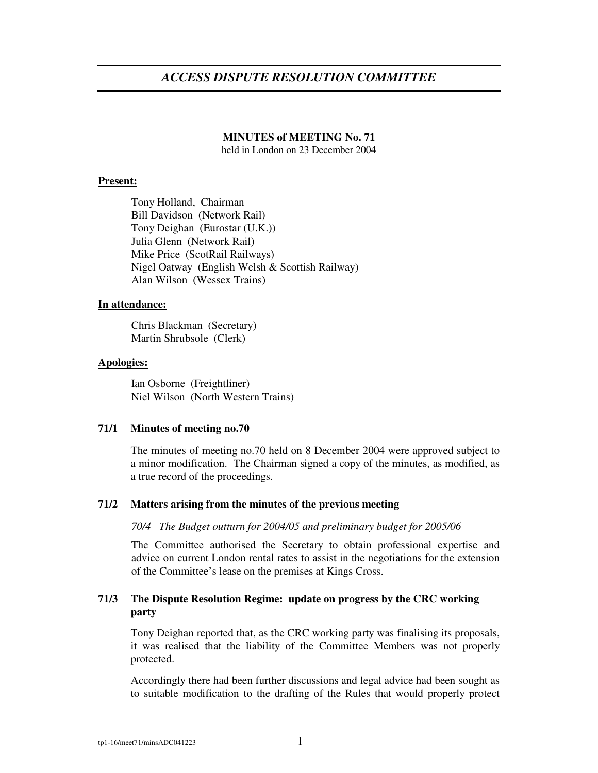# *ACCESS DISPUTE RESOLUTION COMMITTEE*

# **MINUTES of MEETING No. 71**

held in London on 23 December 2004

# **Present:**

Tony Holland, Chairman Bill Davidson (Network Rail) Tony Deighan (Eurostar (U.K.)) Julia Glenn (Network Rail) Mike Price (ScotRail Railways) Nigel Oatway (English Welsh & Scottish Railway) Alan Wilson (Wessex Trains)

### **In attendance:**

Chris Blackman (Secretary) Martin Shrubsole (Clerk)

# **Apologies:**

Ian Osborne (Freightliner) Niel Wilson (North Western Trains)

### **71/1 Minutes of meeting no.70**

The minutes of meeting no.70 held on 8 December 2004 were approved subject to a minor modification. The Chairman signed a copy of the minutes, as modified, as a true record of the proceedings.

# **71/2 Matters arising from the minutes of the previous meeting**

# *70/4 The Budget outturn for 2004/05 and preliminary budget for 2005/06*

The Committee authorised the Secretary to obtain professional expertise and advice on current London rental rates to assist in the negotiations for the extension of the Committee's lease on the premises at Kings Cross.

# **71/3 The Dispute Resolution Regime: update on progress by the CRC working party**

Tony Deighan reported that, as the CRC working party was finalising its proposals, it was realised that the liability of the Committee Members was not properly protected.

Accordingly there had been further discussions and legal advice had been sought as to suitable modification to the drafting of the Rules that would properly protect